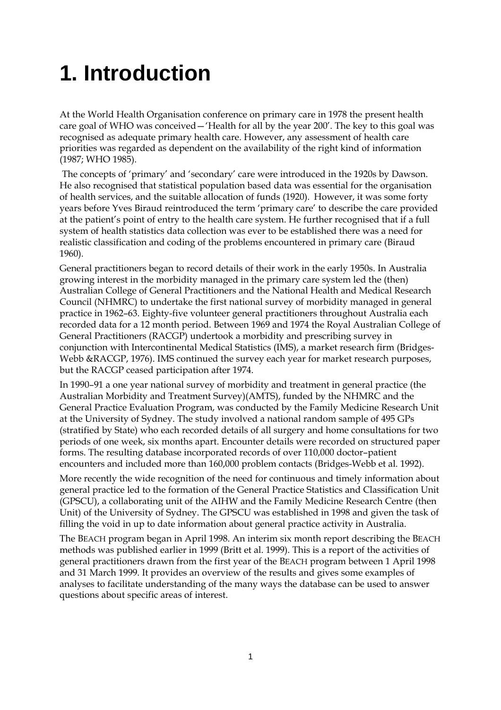## **1. Introduction**

At the World Health Organisation conference on primary care in 1978 the present health care goal of WHO was conceived—'Health for all by the year 200'. The key to this goal was recognised as adequate primary health care. However, any assessment of health care priorities was regarded as dependent on the availability of the right kind of information (1987; WHO 1985).

 The concepts of 'primary' and 'secondary' care were introduced in the 1920s by Dawson. He also recognised that statistical population based data was essential for the organisation of health services, and the suitable allocation of funds (1920). However, it was some forty years before Yves Biraud reintroduced the term 'primary care' to describe the care provided at the patient's point of entry to the health care system. He further recognised that if a full system of health statistics data collection was ever to be established there was a need for realistic classification and coding of the problems encountered in primary care (Biraud 1960).

General practitioners began to record details of their work in the early 1950s. In Australia growing interest in the morbidity managed in the primary care system led the (then) Australian College of General Practitioners and the National Health and Medical Research Council (NHMRC) to undertake the first national survey of morbidity managed in general practice in 1962–63. Eighty-five volunteer general practitioners throughout Australia each recorded data for a 12 month period. Between 1969 and 1974 the Royal Australian College of General Practitioners (RACGP) undertook a morbidity and prescribing survey in conjunction with Intercontinental Medical Statistics (IMS), a market research firm (Bridges-Webb &RACGP, 1976). IMS continued the survey each year for market research purposes, but the RACGP ceased participation after 1974.

In 1990–91 a one year national survey of morbidity and treatment in general practice (the Australian Morbidity and Treatment Survey)(AMTS), funded by the NHMRC and the General Practice Evaluation Program, was conducted by the Family Medicine Research Unit at the University of Sydney. The study involved a national random sample of 495 GPs (stratified by State) who each recorded details of all surgery and home consultations for two periods of one week, six months apart. Encounter details were recorded on structured paper forms. The resulting database incorporated records of over 110,000 doctor–patient encounters and included more than 160,000 problem contacts (Bridges-Webb et al. 1992).

More recently the wide recognition of the need for continuous and timely information about general practice led to the formation of the General Practice Statistics and Classification Unit (GPSCU), a collaborating unit of the AIHW and the Family Medicine Research Centre (then Unit) of the University of Sydney. The GPSCU was established in 1998 and given the task of filling the void in up to date information about general practice activity in Australia.

The BEACH program began in April 1998. An interim six month report describing the BEACH methods was published earlier in 1999 (Britt et al. 1999). This is a report of the activities of general practitioners drawn from the first year of the BEACH program between 1 April 1998 and 31 March 1999. It provides an overview of the results and gives some examples of analyses to facilitate understanding of the many ways the database can be used to answer questions about specific areas of interest.